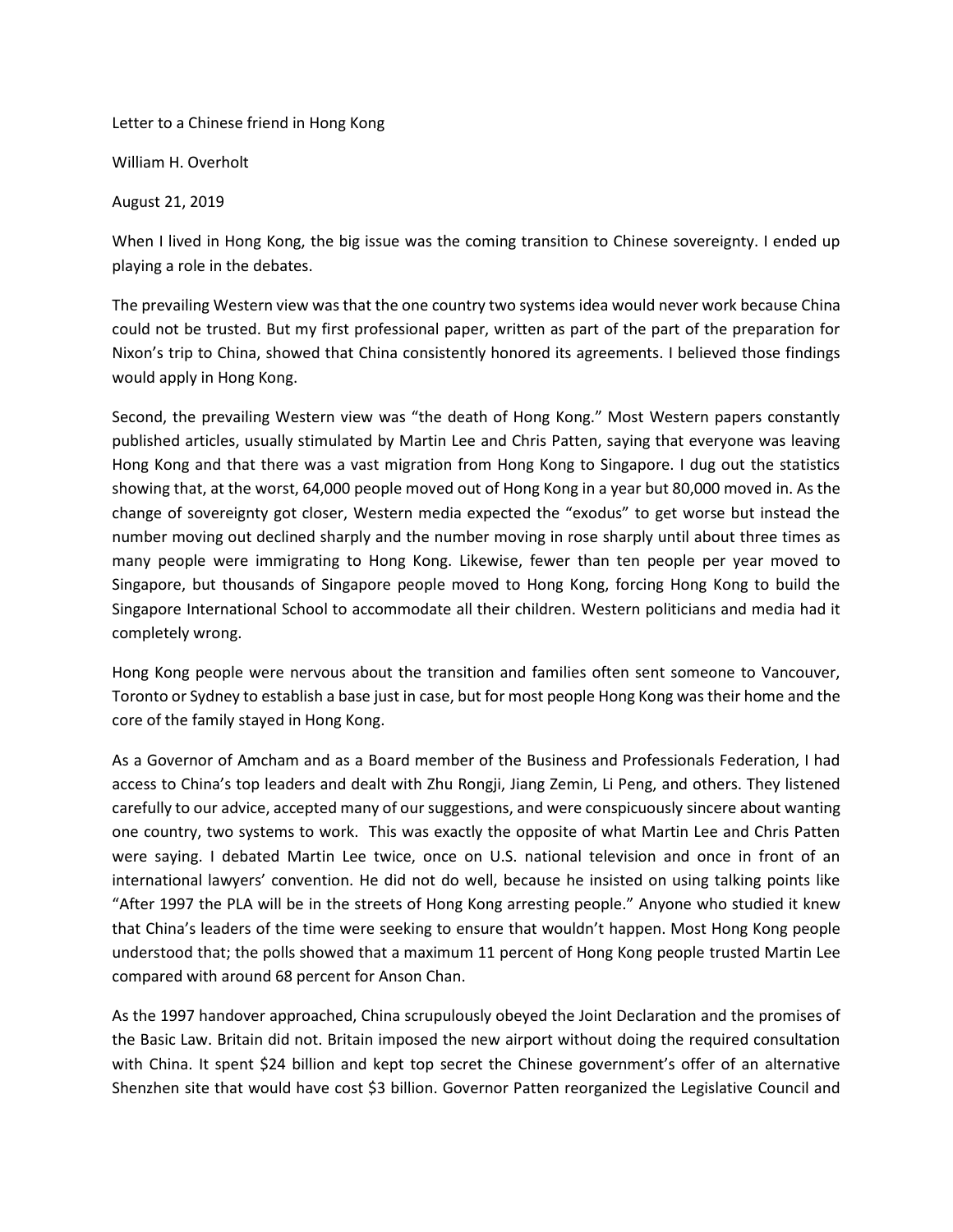Letter to a Chinese friend in Hong Kong

William H. Overholt

August 21, 2019

When I lived in Hong Kong, the big issue was the coming transition to Chinese sovereignty. I ended up playing a role in the debates.

The prevailing Western view was that the one country two systems idea would never work because China could not be trusted. But my first professional paper, written as part of the part of the preparation for Nixon's trip to China, showed that China consistently honored its agreements. I believed those findings would apply in Hong Kong.

Second, the prevailing Western view was "the death of Hong Kong." Most Western papers constantly published articles, usually stimulated by Martin Lee and Chris Patten, saying that everyone was leaving Hong Kong and that there was a vast migration from Hong Kong to Singapore. I dug out the statistics showing that, at the worst, 64,000 people moved out of Hong Kong in a year but 80,000 moved in. As the change of sovereignty got closer, Western media expected the "exodus" to get worse but instead the number moving out declined sharply and the number moving in rose sharply until about three times as many people were immigrating to Hong Kong. Likewise, fewer than ten people per year moved to Singapore, but thousands of Singapore people moved to Hong Kong, forcing Hong Kong to build the Singapore International School to accommodate all their children. Western politicians and media had it completely wrong.

Hong Kong people were nervous about the transition and families often sent someone to Vancouver, Toronto or Sydney to establish a base just in case, but for most people Hong Kong was their home and the core of the family stayed in Hong Kong.

As a Governor of Amcham and as a Board member of the Business and Professionals Federation, I had access to China's top leaders and dealt with Zhu Rongji, Jiang Zemin, Li Peng, and others. They listened carefully to our advice, accepted many of our suggestions, and were conspicuously sincere about wanting one country, two systems to work. This was exactly the opposite of what Martin Lee and Chris Patten were saying. I debated Martin Lee twice, once on U.S. national television and once in front of an international lawyers' convention. He did not do well, because he insisted on using talking points like "After 1997 the PLA will be in the streets of Hong Kong arresting people." Anyone who studied it knew that China's leaders of the time were seeking to ensure that wouldn't happen. Most Hong Kong people understood that; the polls showed that a maximum 11 percent of Hong Kong people trusted Martin Lee compared with around 68 percent for Anson Chan.

As the 1997 handover approached, China scrupulously obeyed the Joint Declaration and the promises of the Basic Law. Britain did not. Britain imposed the new airport without doing the required consultation with China. It spent \$24 billion and kept top secret the Chinese government's offer of an alternative Shenzhen site that would have cost \$3 billion. Governor Patten reorganized the Legislative Council and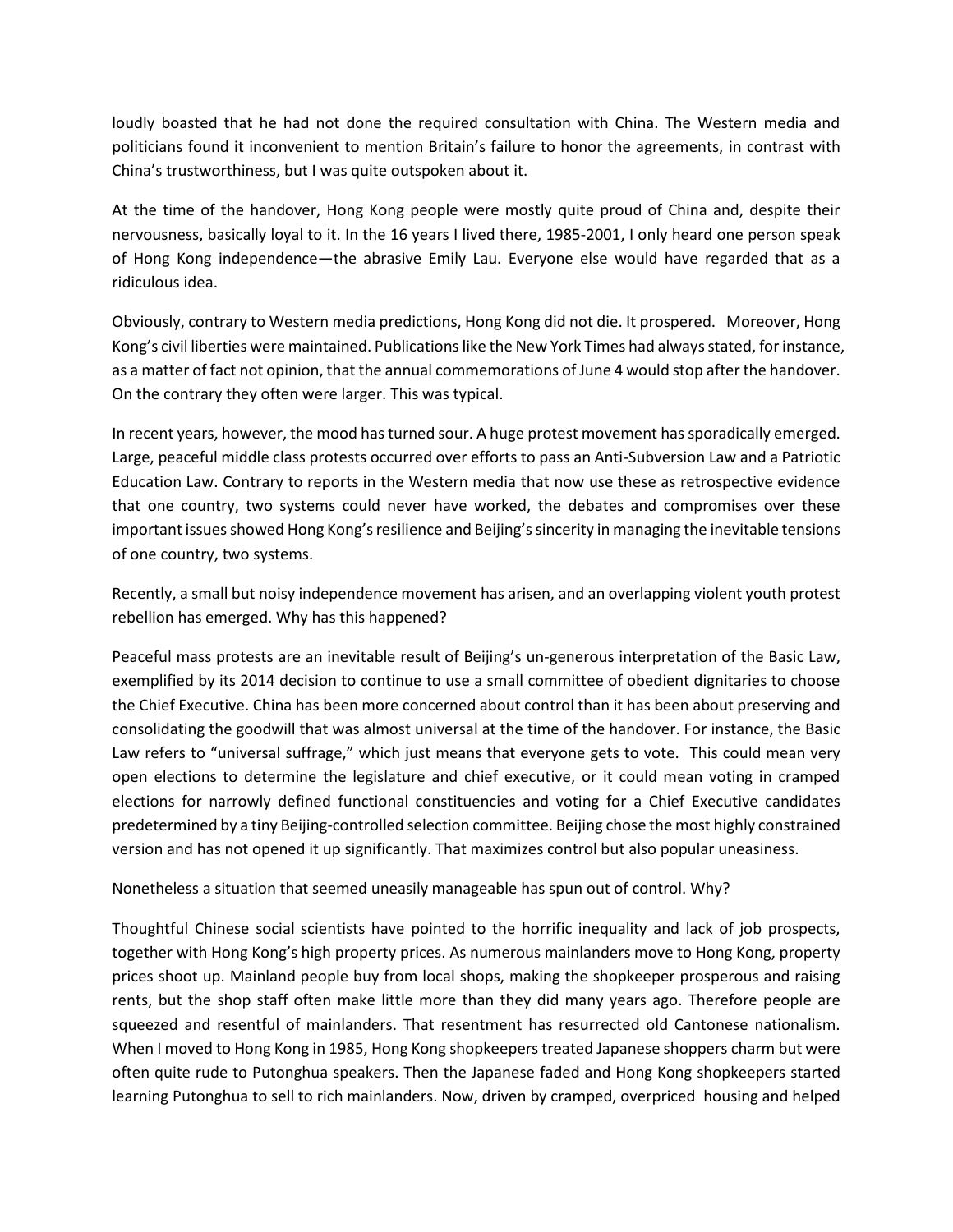loudly boasted that he had not done the required consultation with China. The Western media and politicians found it inconvenient to mention Britain's failure to honor the agreements, in contrast with China's trustworthiness, but I was quite outspoken about it.

At the time of the handover, Hong Kong people were mostly quite proud of China and, despite their nervousness, basically loyal to it. In the 16 years I lived there, 1985-2001, I only heard one person speak of Hong Kong independence—the abrasive Emily Lau. Everyone else would have regarded that as a ridiculous idea.

Obviously, contrary to Western media predictions, Hong Kong did not die. It prospered. Moreover, Hong Kong's civil liberties were maintained. Publications like the New York Times had always stated, for instance, as a matter of fact not opinion, that the annual commemorations of June 4 would stop after the handover. On the contrary they often were larger. This was typical.

In recent years, however, the mood has turned sour. A huge protest movement has sporadically emerged. Large, peaceful middle class protests occurred over efforts to pass an Anti-Subversion Law and a Patriotic Education Law. Contrary to reports in the Western media that now use these as retrospective evidence that one country, two systems could never have worked, the debates and compromises over these important issues showed Hong Kong's resilience and Beijing's sincerity in managing the inevitable tensions of one country, two systems.

Recently, a small but noisy independence movement has arisen, and an overlapping violent youth protest rebellion has emerged. Why has this happened?

Peaceful mass protests are an inevitable result of Beijing's un-generous interpretation of the Basic Law, exemplified by its 2014 decision to continue to use a small committee of obedient dignitaries to choose the Chief Executive. China has been more concerned about control than it has been about preserving and consolidating the goodwill that was almost universal at the time of the handover. For instance, the Basic Law refers to "universal suffrage," which just means that everyone gets to vote. This could mean very open elections to determine the legislature and chief executive, or it could mean voting in cramped elections for narrowly defined functional constituencies and voting for a Chief Executive candidates predetermined by a tiny Beijing-controlled selection committee. Beijing chose the most highly constrained version and has not opened it up significantly. That maximizes control but also popular uneasiness.

Nonetheless a situation that seemed uneasily manageable has spun out of control. Why?

Thoughtful Chinese social scientists have pointed to the horrific inequality and lack of job prospects, together with Hong Kong's high property prices. As numerous mainlanders move to Hong Kong, property prices shoot up. Mainland people buy from local shops, making the shopkeeper prosperous and raising rents, but the shop staff often make little more than they did many years ago. Therefore people are squeezed and resentful of mainlanders. That resentment has resurrected old Cantonese nationalism. When I moved to Hong Kong in 1985, Hong Kong shopkeepers treated Japanese shoppers charm but were often quite rude to Putonghua speakers. Then the Japanese faded and Hong Kong shopkeepers started learning Putonghua to sell to rich mainlanders. Now, driven by cramped, overpriced housing and helped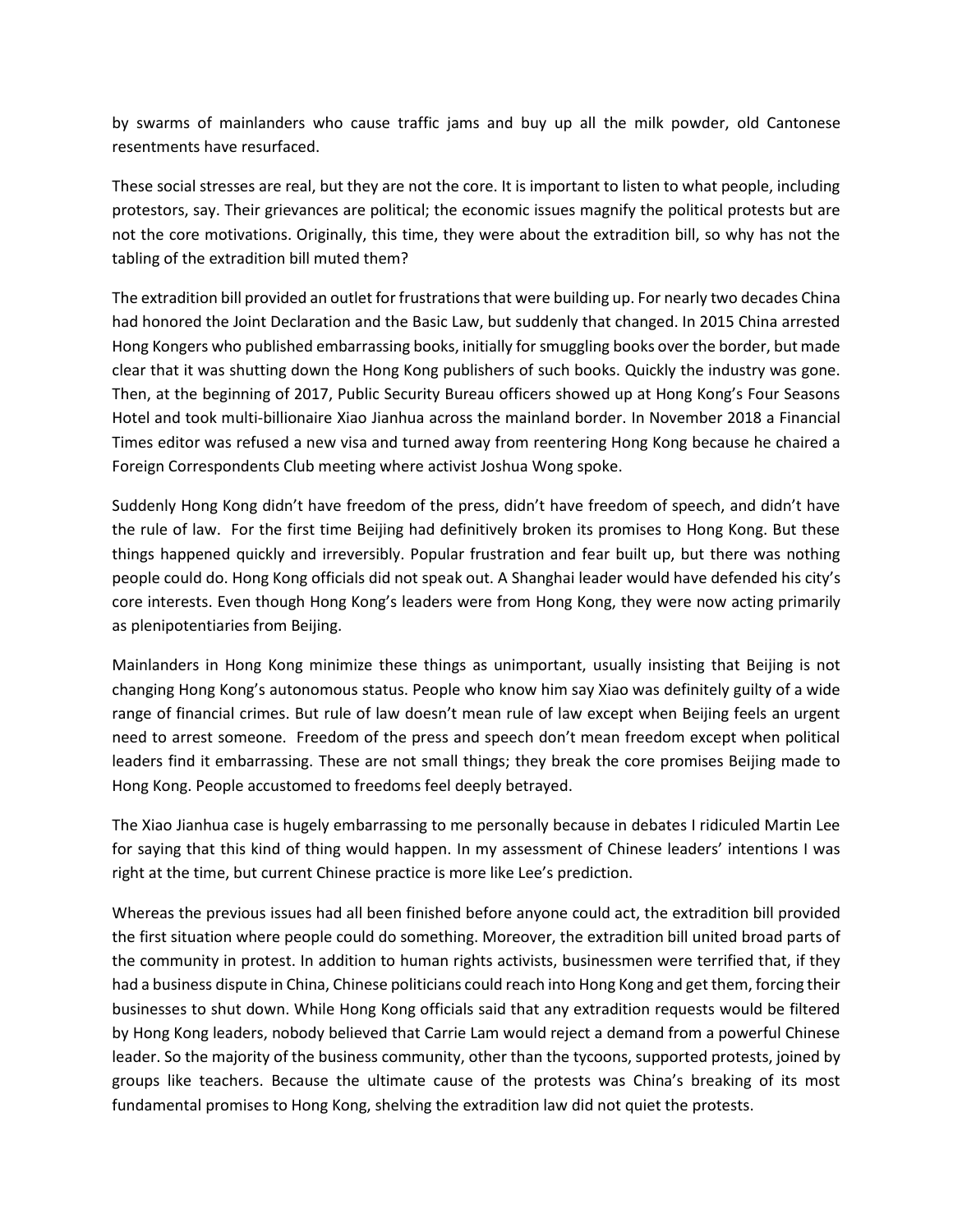by swarms of mainlanders who cause traffic jams and buy up all the milk powder, old Cantonese resentments have resurfaced.

These social stresses are real, but they are not the core. It is important to listen to what people, including protestors, say. Their grievances are political; the economic issues magnify the political protests but are not the core motivations. Originally, this time, they were about the extradition bill, so why has not the tabling of the extradition bill muted them?

The extradition bill provided an outlet for frustrations that were building up. For nearly two decades China had honored the Joint Declaration and the Basic Law, but suddenly that changed. In 2015 China arrested Hong Kongers who published embarrassing books, initially for smuggling books over the border, but made clear that it was shutting down the Hong Kong publishers of such books. Quickly the industry was gone. Then, at the beginning of 2017, Public Security Bureau officers showed up at Hong Kong's Four Seasons Hotel and took multi-billionaire Xiao Jianhua across the mainland border. In November 2018 a Financial Times editor was refused a new visa and turned away from reentering Hong Kong because he chaired a Foreign Correspondents Club meeting where activist Joshua Wong spoke.

Suddenly Hong Kong didn't have freedom of the press, didn't have freedom of speech, and didn't have the rule of law. For the first time Beijing had definitively broken its promises to Hong Kong. But these things happened quickly and irreversibly. Popular frustration and fear built up, but there was nothing people could do. Hong Kong officials did not speak out. A Shanghai leader would have defended his city's core interests. Even though Hong Kong's leaders were from Hong Kong, they were now acting primarily as plenipotentiaries from Beijing.

Mainlanders in Hong Kong minimize these things as unimportant, usually insisting that Beijing is not changing Hong Kong's autonomous status. People who know him say Xiao was definitely guilty of a wide range of financial crimes. But rule of law doesn't mean rule of law except when Beijing feels an urgent need to arrest someone. Freedom of the press and speech don't mean freedom except when political leaders find it embarrassing. These are not small things; they break the core promises Beijing made to Hong Kong. People accustomed to freedoms feel deeply betrayed.

The Xiao Jianhua case is hugely embarrassing to me personally because in debates I ridiculed Martin Lee for saying that this kind of thing would happen. In my assessment of Chinese leaders' intentions I was right at the time, but current Chinese practice is more like Lee's prediction.

Whereas the previous issues had all been finished before anyone could act, the extradition bill provided the first situation where people could do something. Moreover, the extradition bill united broad parts of the community in protest. In addition to human rights activists, businessmen were terrified that, if they had a business dispute in China, Chinese politicians could reach into Hong Kong and get them, forcing their businesses to shut down. While Hong Kong officials said that any extradition requests would be filtered by Hong Kong leaders, nobody believed that Carrie Lam would reject a demand from a powerful Chinese leader. So the majority of the business community, other than the tycoons, supported protests, joined by groups like teachers. Because the ultimate cause of the protests was China's breaking of its most fundamental promises to Hong Kong, shelving the extradition law did not quiet the protests.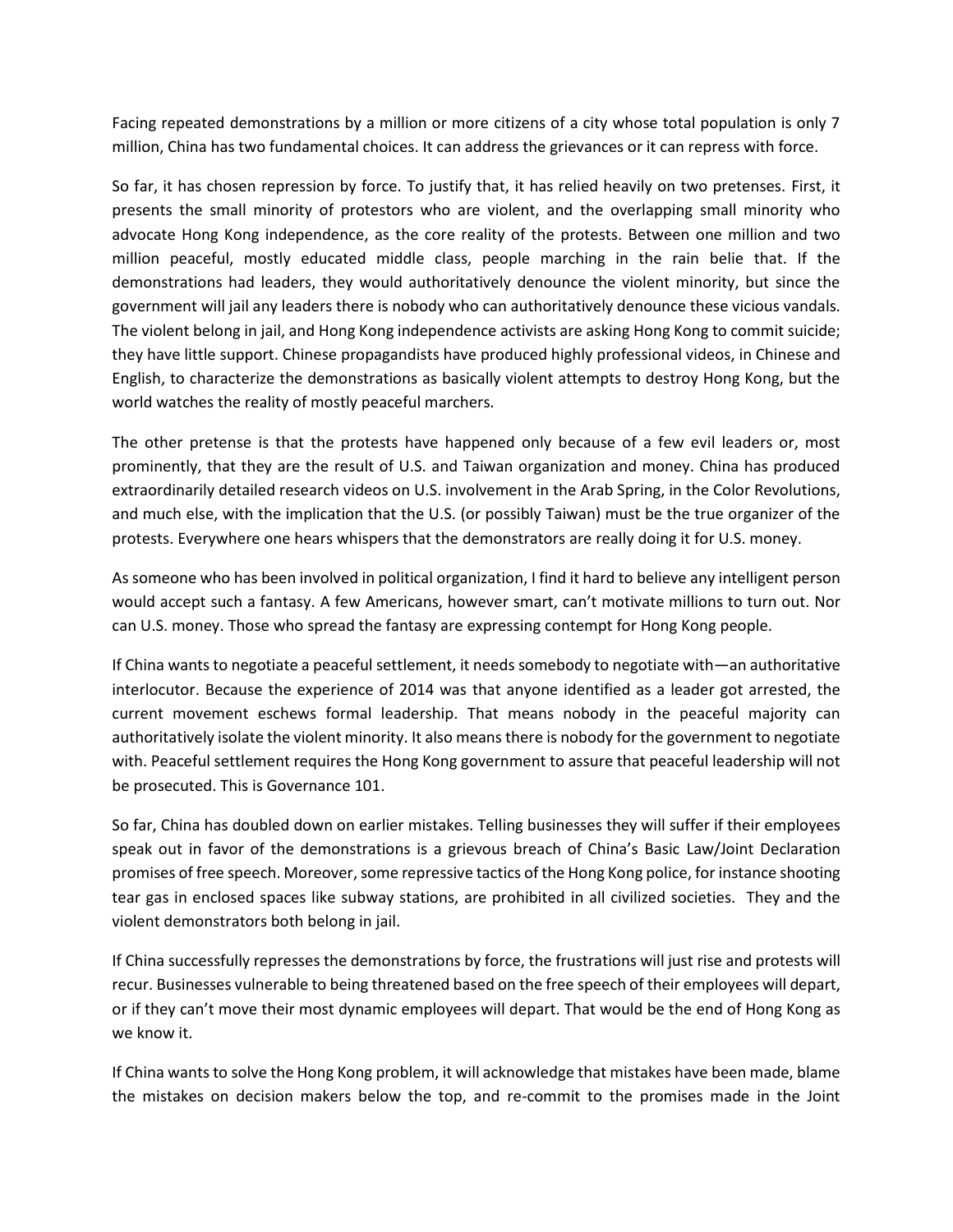Facing repeated demonstrations by a million or more citizens of a city whose total population is only 7 million, China has two fundamental choices. It can address the grievances or it can repress with force.

So far, it has chosen repression by force. To justify that, it has relied heavily on two pretenses. First, it presents the small minority of protestors who are violent, and the overlapping small minority who advocate Hong Kong independence, as the core reality of the protests. Between one million and two million peaceful, mostly educated middle class, people marching in the rain belie that. If the demonstrations had leaders, they would authoritatively denounce the violent minority, but since the government will jail any leaders there is nobody who can authoritatively denounce these vicious vandals. The violent belong in jail, and Hong Kong independence activists are asking Hong Kong to commit suicide; they have little support. Chinese propagandists have produced highly professional videos, in Chinese and English, to characterize the demonstrations as basically violent attempts to destroy Hong Kong, but the world watches the reality of mostly peaceful marchers.

The other pretense is that the protests have happened only because of a few evil leaders or, most prominently, that they are the result of U.S. and Taiwan organization and money. China has produced extraordinarily detailed research videos on U.S. involvement in the Arab Spring, in the Color Revolutions, and much else, with the implication that the U.S. (or possibly Taiwan) must be the true organizer of the protests. Everywhere one hears whispers that the demonstrators are really doing it for U.S. money.

As someone who has been involved in political organization, I find it hard to believe any intelligent person would accept such a fantasy. A few Americans, however smart, can't motivate millions to turn out. Nor can U.S. money. Those who spread the fantasy are expressing contempt for Hong Kong people.

If China wants to negotiate a peaceful settlement, it needs somebody to negotiate with—an authoritative interlocutor. Because the experience of 2014 was that anyone identified as a leader got arrested, the current movement eschews formal leadership. That means nobody in the peaceful majority can authoritatively isolate the violent minority. It also means there is nobody for the government to negotiate with. Peaceful settlement requires the Hong Kong government to assure that peaceful leadership will not be prosecuted. This is Governance 101.

So far, China has doubled down on earlier mistakes. Telling businesses they will suffer if their employees speak out in favor of the demonstrations is a grievous breach of China's Basic Law/Joint Declaration promises of free speech. Moreover, some repressive tactics of the Hong Kong police, for instance shooting tear gas in enclosed spaces like subway stations, are prohibited in all civilized societies. They and the violent demonstrators both belong in jail.

If China successfully represses the demonstrations by force, the frustrations will just rise and protests will recur. Businesses vulnerable to being threatened based on the free speech of their employees will depart, or if they can't move their most dynamic employees will depart. That would be the end of Hong Kong as we know it.

If China wants to solve the Hong Kong problem, it will acknowledge that mistakes have been made, blame the mistakes on decision makers below the top, and re-commit to the promises made in the Joint